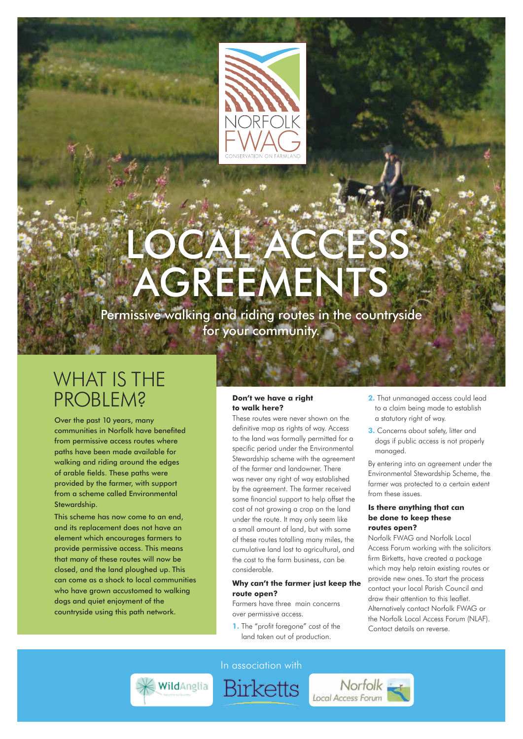

# CAL ACCE **AGREEMENTS**

Permissive walking and riding routes in the countryside for your community.

### WHAT IS THE **PROBLEM?**

Over the past 10 years, many communities in Norfolk have benefited from permissive access routes where paths have been made available for walking and riding around the edges of arable fields. These paths were provided by the farmer, with support from a scheme called Environmental Stewardship.

This scheme has now come to an end, and its replacement does not have an element which encourages farmers to provide permissive access. This means that many of these routes will now be closed, and the land ploughed up. This can come as a shock to local communities who have grown accustomed to walking dogs and quiet enjoyment of the countryside using this path network.

#### **Don't we have a right to walk here?**

These routes were never shown on the definitive map as rights of way. Access to the land was formally permitted for a specific period under the Environmental Stewardship scheme with the agreement of the farmer and landowner. There was never any right of way established by the agreement. The farmer received some financial support to help offset the cost of not growing a crop on the land under the route. It may only seem like a small amount of land, but with some of these routes totalling many miles, the cumulative land lost to agricultural, and the cost to the farm business, can be considerable.

#### **Why can't the farmer just keep the route open?**

Norfolk<br>Local Access Forum

Farmers have three main concerns over permissive access.

**1.** The "profit foregone" cost of the land taken out of production.

- **2.** That unmanaged access could lead to a claim being made to establish a statutory right of way.
- **3.** Concerns about safety, litter and dogs if public access is not properly managed.

By entering into an agreement under the Environmental Stewardship Scheme, the farmer was protected to a certain extent from these issues.

#### **Is there anything that can be done to keep these routes open?**

Norfolk FWAG and Norfolk Local Access Forum working with the solicitors firm Birketts, have created a package which may help retain existing routes or provide new ones. To start the process contact your local Parish Council and draw their attention to this leaflet. Alternatively contact Norfolk FWAG or the Norfolk Local Access Forum (NLAF). Contact details on reverse.



In association with

**Birketts**